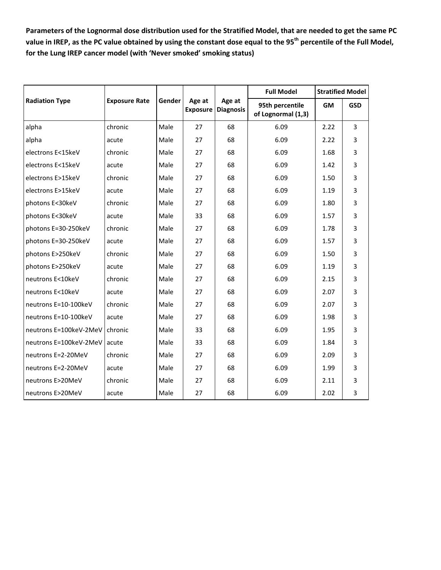**Parameters of the Lognormal dose distribution used for the Stratified Model, that are needed to get the same PC value in IREP, as the PC value obtained by using the constant dose equal to the 95th percentile of the Full Model, for the Lung IREP cancer model (with 'Never smoked' smoking status)**

| <b>Radiation Type</b>  | <b>Exposure Rate</b> | Gender | Age at<br><b>Exposure</b> | Age at<br><b>Diagnosis</b> | <b>Full Model</b>                     | <b>Stratified Model</b> |                |
|------------------------|----------------------|--------|---------------------------|----------------------------|---------------------------------------|-------------------------|----------------|
|                        |                      |        |                           |                            | 95th percentile<br>of Lognormal (1,3) | <b>GM</b>               | <b>GSD</b>     |
| alpha                  | chronic              | Male   | 27                        | 68                         | 6.09                                  | 2.22                    | $\overline{3}$ |
| alpha                  | acute                | Male   | 27                        | 68                         | 6.09                                  | 2.22                    | 3              |
| electrons E<15keV      | chronic              | Male   | 27                        | 68                         | 6.09                                  | 1.68                    | 3              |
| electrons E<15keV      | acute                | Male   | 27                        | 68                         | 6.09                                  | 1.42                    | 3              |
| electrons E>15keV      | chronic              | Male   | 27                        | 68                         | 6.09                                  | 1.50                    | 3              |
| electrons E>15keV      | acute                | Male   | 27                        | 68                         | 6.09                                  | 1.19                    | 3              |
| photons E<30keV        | chronic              | Male   | 27                        | 68                         | 6.09                                  | 1.80                    | 3              |
| photons E<30keV        | acute                | Male   | 33                        | 68                         | 6.09                                  | 1.57                    | 3              |
| photons E=30-250keV    | chronic              | Male   | 27                        | 68                         | 6.09                                  | 1.78                    | 3              |
| photons E=30-250keV    | acute                | Male   | 27                        | 68                         | 6.09                                  | 1.57                    | 3              |
| photons E>250keV       | chronic              | Male   | 27                        | 68                         | 6.09                                  | 1.50                    | 3              |
| photons E>250keV       | acute                | Male   | 27                        | 68                         | 6.09                                  | 1.19                    | 3              |
| neutrons E<10keV       | chronic              | Male   | 27                        | 68                         | 6.09                                  | 2.15                    | 3              |
| neutrons E<10keV       | acute                | Male   | 27                        | 68                         | 6.09                                  | 2.07                    | 3              |
| neutrons E=10-100keV   | chronic              | Male   | 27                        | 68                         | 6.09                                  | 2.07                    | 3              |
| neutrons E=10-100keV   | acute                | Male   | 27                        | 68                         | 6.09                                  | 1.98                    | 3              |
| neutrons E=100keV-2MeV | chronic              | Male   | 33                        | 68                         | 6.09                                  | 1.95                    | 3              |
| neutrons E=100keV-2MeV | acute                | Male   | 33                        | 68                         | 6.09                                  | 1.84                    | 3              |
| neutrons E=2-20MeV     | chronic              | Male   | 27                        | 68                         | 6.09                                  | 2.09                    | 3              |
| neutrons E=2-20MeV     | acute                | Male   | 27                        | 68                         | 6.09                                  | 1.99                    | 3              |
| neutrons E>20MeV       | chronic              | Male   | 27                        | 68                         | 6.09                                  | 2.11                    | 3              |
| neutrons E>20MeV       | acute                | Male   | 27                        | 68                         | 6.09                                  | 2.02                    | 3              |